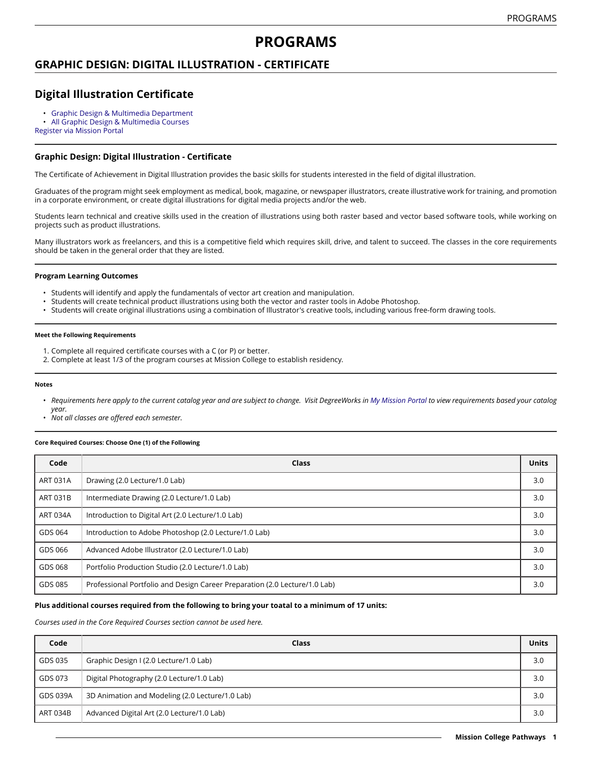# **PROGRAMS**

### **GRAPHIC DESIGN: DIGITAL ILLUSTRATION - CERTIFICATE**

# **Digital Illustration Certificate**

- Graphic Design & Multimedia [Department](https://missioncollege.edu/depts/graphic-design/)
- All Graphic Design & [Multimedia](http://majors.missioncollege.edu/current/courses/gds.html) Courses

[Register via Mission Portal](https://web.wvm.edu/)

#### **Graphic Design: Digital Illustration - Certificate**

The Certificate of Achievement in Digital Illustration provides the basic skills for students interested in the field of digital illustration.

Graduates of the program might seek employment as medical, book, magazine, or newspaper illustrators, create illustrative work for training, and promotion in a corporate environment, or create digital illustrations for digital media projects and/or the web.

Students learn technical and creative skills used in the creation of illustrations using both raster based and vector based software tools, while working on projects such as product illustrations.

Many illustrators work as freelancers, and this is a competitive field which requires skill, drive, and talent to succeed. The classes in the core requirements should be taken in the general order that they are listed.

#### **Program Learning Outcomes**

- Students will identify and apply the fundamentals of vector art creation and manipulation.
- Students will create technical product illustrations using both the vector and raster tools in Adobe Photoshop.
- Students will create original illustrations using a combination of Illustrator's creative tools, including various free-form drawing tools.

#### **Meet the Following Requirements**

- 1. Complete all required certificate courses with a C (or P) or better.
- 2. Complete at least 1/3 of the program courses at Mission College to establish residency.

#### **Notes**

- Requirements here apply to the current catalog year and are subject to change. Visit DegreeWorks in [My Mission Portal](https://web.wvm.edu/#/) to view requirements based your catalog *year.*
- *Not all classes are offered each semester.*

#### **Core Required Courses: Choose One (1) of the Following**

| Code            | Class                                                                      | <b>Units</b> |
|-----------------|----------------------------------------------------------------------------|--------------|
| <b>ART 031A</b> | Drawing (2.0 Lecture/1.0 Lab)                                              | 3.0          |
| <b>ART 031B</b> | Intermediate Drawing (2.0 Lecture/1.0 Lab)                                 | 3.0          |
| <b>ART 034A</b> | Introduction to Digital Art (2.0 Lecture/1.0 Lab)                          | 3.0          |
| GDS 064         | Introduction to Adobe Photoshop (2.0 Lecture/1.0 Lab)                      | 3.0          |
| GDS 066         | Advanced Adobe Illustrator (2.0 Lecture/1.0 Lab)                           | 3.0          |
| GDS 068         | Portfolio Production Studio (2.0 Lecture/1.0 Lab)                          | 3.0          |
| GDS 085         | Professional Portfolio and Design Career Preparation (2.0 Lecture/1.0 Lab) | 3.0          |

#### **Plus additional courses required from the following to bring your toatal to a minimum of 17 units:**

*Courses used in the Core Required Courses section cannot be used here.*

| Code     | Class                                           | Units |
|----------|-------------------------------------------------|-------|
| GDS 035  | Graphic Design I (2.0 Lecture/1.0 Lab)          | 3.0   |
| GDS 073  | Digital Photography (2.0 Lecture/1.0 Lab)       | 3.0   |
| GDS 039A | 3D Animation and Modeling (2.0 Lecture/1.0 Lab) | 3.0   |
| ART 034B | Advanced Digital Art (2.0 Lecture/1.0 Lab)      | 3.0   |